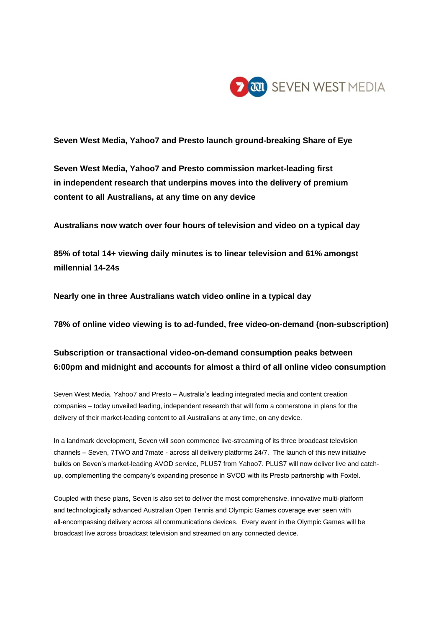

**Seven West Media, Yahoo7 and Presto launch ground-breaking Share of Eye**

**Seven West Media, Yahoo7 and Presto commission market-leading first in independent research that underpins moves into the delivery of premium content to all Australians, at any time on any device**

**Australians now watch over four hours of television and video on a typical day**

**85% of total 14+ viewing daily minutes is to linear television and 61% amongst millennial 14-24s**

**Nearly one in three Australians watch video online in a typical day**

**78% of online video viewing is to ad-funded, free video-on-demand (non-subscription)**

# **Subscription or transactional video-on-demand consumption peaks between 6:00pm and midnight and accounts for almost a third of all online video consumption**

Seven West Media, Yahoo7 and Presto – Australia's leading integrated media and content creation companies – today unveiled leading, independent research that will form a cornerstone in plans for the delivery of their market-leading content to all Australians at any time, on any device.

In a landmark development, Seven will soon commence live-streaming of its three broadcast television channels – Seven, 7TWO and 7mate - across all delivery platforms 24/7. The launch of this new initiative builds on Seven's market-leading AVOD service, PLUS7 from Yahoo7. PLUS7 will now deliver live and catchup, complementing the company's expanding presence in SVOD with its Presto partnership with Foxtel.

Coupled with these plans, Seven is also set to deliver the most comprehensive, innovative multi-platform and technologically advanced Australian Open Tennis and Olympic Games coverage ever seen with all-encompassing delivery across all communications devices. Every event in the Olympic Games will be broadcast live across broadcast television and streamed on any connected device.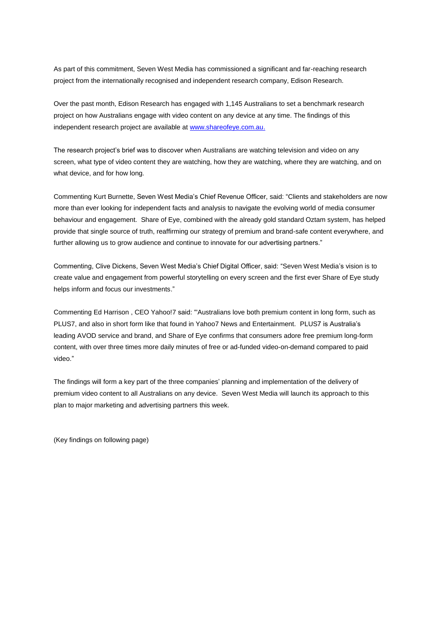As part of this commitment, Seven West Media has commissioned a significant and far-reaching research project from the internationally recognised and independent research company, Edison Research.

Over the past month, Edison Research has engaged with 1,145 Australians to set a benchmark research project on how Australians engage with video content on any device at any time. The findings of this independent research project are available a[t www.shareofeye.com.au.](http://www.shareofeye.com.au/)

The research project's brief was to discover when Australians are watching television and video on any screen, what type of video content they are watching, how they are watching, where they are watching, and on what device, and for how long.

Commenting Kurt Burnette, Seven West Media's Chief Revenue Officer, said: "Clients and stakeholders are now more than ever looking for independent facts and analysis to navigate the evolving world of media consumer behaviour and engagement. Share of Eye, combined with the already gold standard Oztam system, has helped provide that single source of truth, reaffirming our strategy of premium and brand-safe content everywhere, and further allowing us to grow audience and continue to innovate for our advertising partners."

Commenting, Clive Dickens, Seven West Media's Chief Digital Officer, said: "Seven West Media's vision is to create value and engagement from powerful storytelling on every screen and the first ever Share of Eye study helps inform and focus our investments."

Commenting Ed Harrison , CEO Yahoo!7 said: "'Australians love both premium content in long form, such as PLUS7, and also in short form like that found in Yahoo7 News and Entertainment. PLUS7 is Australia's leading AVOD service and brand, and Share of Eye confirms that consumers adore free premium long-form content, with over three times more daily minutes of free or ad-funded video-on-demand compared to paid video."

The findings will form a key part of the three companies' planning and implementation of the delivery of premium video content to all Australians on any device. Seven West Media will launch its approach to this plan to major marketing and advertising partners this week.

(Key findings on following page)